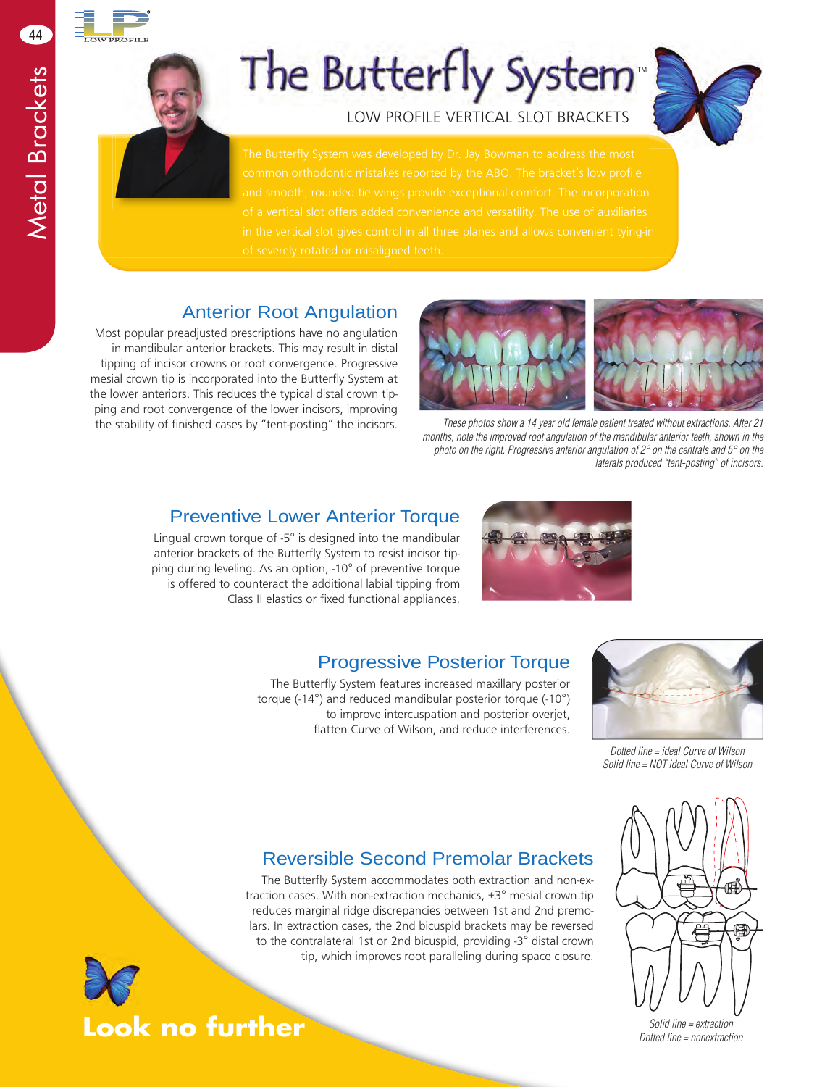44

# The Butterfly System<sup>®</sup>

LOW PROFILE VERTICAL SLOT BRACKETS



#### Anterior Root Angulation

Most popular preadjusted prescriptions have no angulation in mandibular anterior brackets. This may result in distal tipping of incisor crowns or root convergence. Progressive mesial crown tip is incorporated into the Butterfly System at the lower anteriors. This reduces the typical distal crown tipping and root convergence of the lower incisors, improving the stability of finished cases by "tent-posting" the incisors.



*These photos show a 14 year old female patient treated without extractions. After 21 months, note the improved root angulation of the mandibular anterior teeth, shown in the photo on the right. Progressive anterior angulation of 2° on the centrals and 5° on the laterals produced "tent-posting" of incisors.*

#### Preventive Lower Anterior Torque

Lingual crown torque of -5° is designed into the mandibular anterior brackets of the Butterfly System to resist incisor tipping during leveling. As an option, -10° of preventive torque is offered to counteract the additional labial tipping from Class II elastics or fixed functional appliances.



#### Progressive Posterior Torque

The Butterfly System features increased maxillary posterior torque (-14°) and reduced mandibular posterior torque (-10°) to improve intercuspation and posterior overjet, flatten Curve of Wilson, and reduce interferences.



*Dotted line = ideal Curve of Wilson Solid line = NOT ideal Curve of Wilson*

#### Reversible Second Premolar Brackets

The Butterfly System accommodates both extraction and non-extraction cases. With non-extraction mechanics, +3° mesial crown tip reduces marginal ridge discrepancies between 1st and 2nd premolars. In extraction cases, the 2nd bicuspid brackets may be reversed to the contralateral 1st or 2nd bicuspid, providing -3° distal crown tip, which improves root paralleling during space closure.



*Solid line = extraction Dotted line = nonextraction*



**Look no further**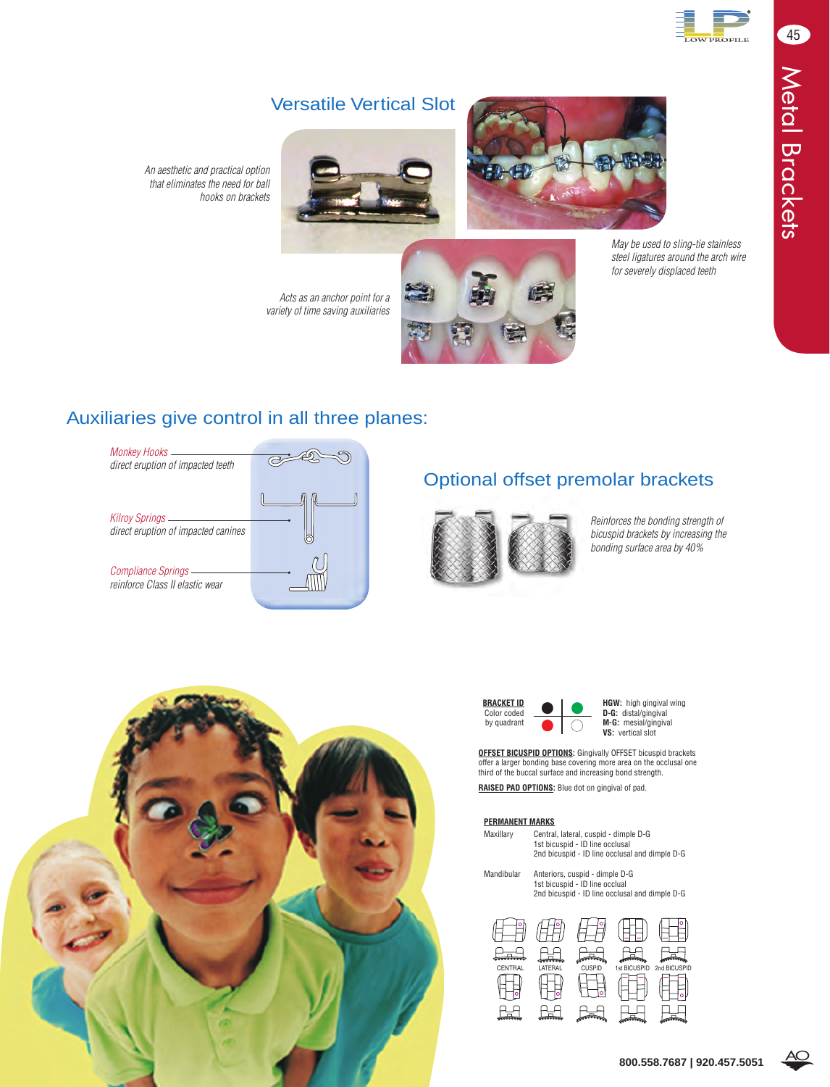

#### Versatile Vertical Slot





*that eliminates the need for ball hooks on brackets*

*An aesthetic and practical option* 

*Acts as an anchor point for a variety of time saving auxiliaries* *May be used to sling-tie stainless steel ligatures around the arch wire for severely displaced teeth*

Auxiliaries give control in all three planes:



### Optional offset premolar brackets



E

*Reinforces the bonding strength of bicuspid brackets by increasing the bonding surface area by 40%*





**BRACKET ID Color coded D C HGW:** high gingival wing **D-G:** distal/gingival<br>by quadrant **M-G:** mesial/gingival **VS:** vertical slot

**OFFSET BICUSPID OPTIONS:** Gingivally OFFSET bicuspid brackets offer a larger bonding base covering more area on the occlusal one third of the buccal surface and increasing bond strength.

**RAISED PAD OPTIONS:** Blue dot on gingival of pad.

#### **PERMANENT MARKS**

| Maxillary  | Central, lateral, cuspid - dimple D-G<br>1st bicuspid - ID line occlusal<br>2nd bicuspid - ID line occlusal and dimple D-G |  |  |  |  |
|------------|----------------------------------------------------------------------------------------------------------------------------|--|--|--|--|
| Mandibular | Anteriors, cuspid - dimple D-G<br>1st bicuspid - ID line occlual<br>2nd bicuspid - ID line occlusal and dimple D-G         |  |  |  |  |



45